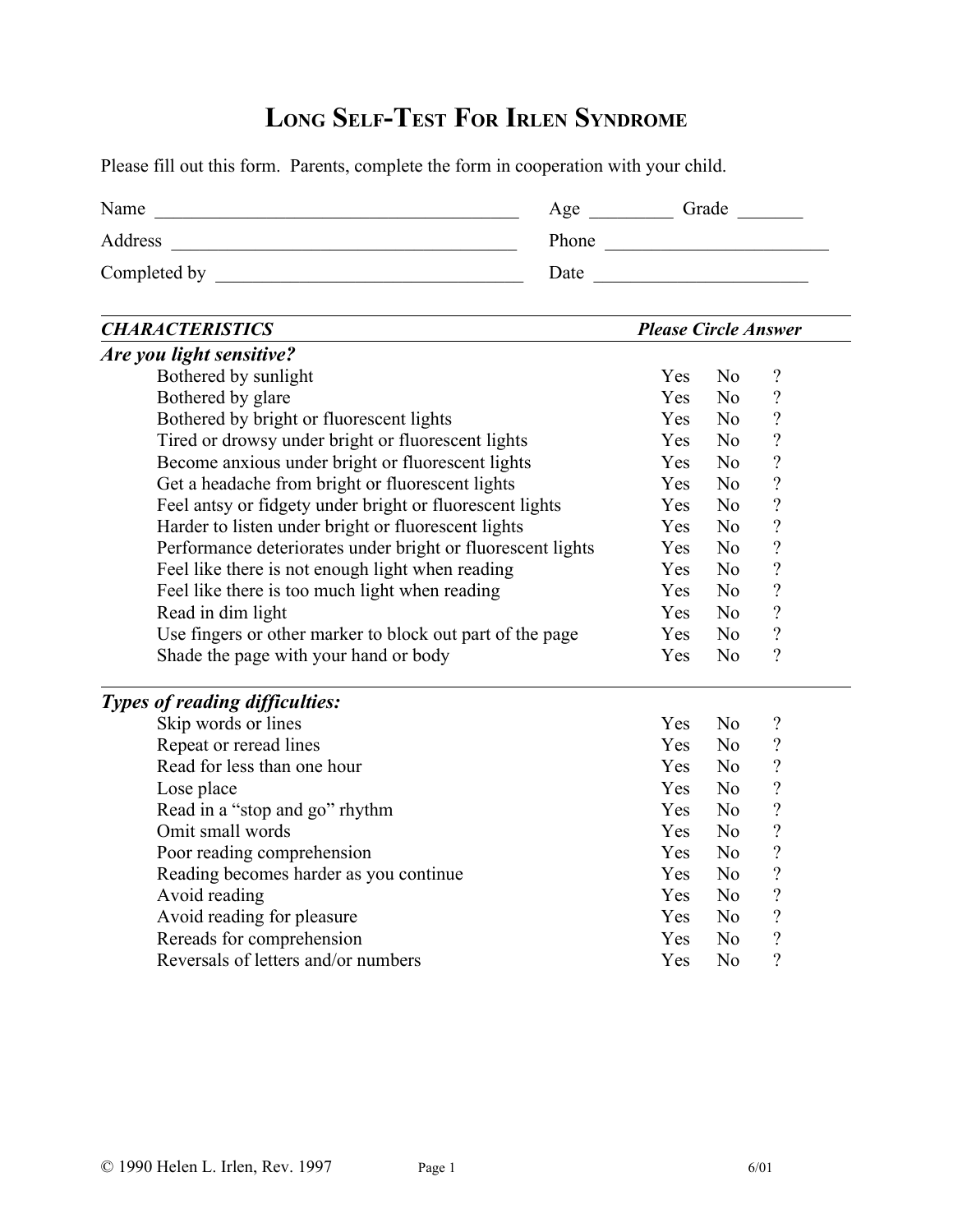## **LONG SELF-TEST FOR IRLEN SYNDROME**

Please fill out this form. Parents, complete the form in cooperation with your child.

| Name         | Age   | Grade |
|--------------|-------|-------|
| Address      | Phone |       |
| Completed by | Date  |       |

| <b>CHARACTERISTICS</b>                                      | <b>Please Circle Answer</b> |                |                            |
|-------------------------------------------------------------|-----------------------------|----------------|----------------------------|
| Are you light sensitive?                                    |                             |                |                            |
| Bothered by sunlight                                        | Yes                         | N <sub>0</sub> | $\boldsymbol{\mathcal{C}}$ |
| Bothered by glare                                           | Yes                         | N <sub>0</sub> | $\overline{\mathcal{L}}$   |
| Bothered by bright or fluorescent lights                    | Yes                         | N <sub>o</sub> | $\boldsymbol{v}$           |
| Tired or drowsy under bright or fluorescent lights          | Yes                         | N <sub>0</sub> | $\overline{\mathcal{L}}$   |
| Become anxious under bright or fluorescent lights           | Yes                         | N <sub>o</sub> | $\overline{\mathcal{L}}$   |
| Get a headache from bright or fluorescent lights            | Yes                         | N <sub>o</sub> | $\overline{\mathcal{L}}$   |
| Feel antsy or fidgety under bright or fluorescent lights    | Yes                         | N <sub>0</sub> | $\overline{?}$             |
| Harder to listen under bright or fluorescent lights         | Yes                         | N <sub>o</sub> | $\overline{\mathcal{L}}$   |
| Performance deteriorates under bright or fluorescent lights | Yes                         | N <sub>o</sub> | $\overline{\mathcal{C}}$   |
| Feel like there is not enough light when reading            | Yes                         | N <sub>o</sub> | $\overline{\mathcal{L}}$   |
| Feel like there is too much light when reading              | Yes                         | N <sub>0</sub> | $\overline{?}$             |
| Read in dim light                                           | Yes                         | N <sub>o</sub> | $\boldsymbol{?}$           |
| Use fingers or other marker to block out part of the page   | Yes                         | N <sub>0</sub> | $\overline{?}$             |
| Shade the page with your hand or body                       | Yes                         | N <sub>o</sub> | $\overline{?}$             |
| <b>Types of reading difficulties:</b>                       |                             |                |                            |
| Skip words or lines                                         | Yes                         | N <sub>o</sub> | $\boldsymbol{\mathcal{C}}$ |
| Repeat or reread lines                                      | Yes                         | N <sub>o</sub> | $\boldsymbol{\mathcal{C}}$ |
| Read for less than one hour                                 | Yes                         | N <sub>0</sub> | $\overline{\mathcal{L}}$   |
| Lose place                                                  | Yes                         | N <sub>o</sub> | $\overline{\mathcal{C}}$   |
| Read in a "stop and go" rhythm                              | Yes                         | N <sub>0</sub> | $\overline{\mathcal{L}}$   |
| Omit small words                                            | Yes                         | N <sub>0</sub> | $\overline{\mathcal{L}}$   |
| Poor reading comprehension                                  | Yes                         | N <sub>o</sub> | $\overline{\mathcal{L}}$   |
| Reading becomes harder as you continue                      | Yes                         | N <sub>o</sub> | $\overline{\mathcal{L}}$   |
| Avoid reading                                               | Yes                         | N <sub>o</sub> | $\overline{?}$             |
| Avoid reading for pleasure                                  | Yes                         | N <sub>o</sub> | $\overline{\mathcal{L}}$   |
| Rereads for comprehension                                   | Yes                         | N <sub>o</sub> | $\overline{\mathcal{L}}$   |
| Reversals of letters and/or numbers                         | Yes                         | N <sub>o</sub> | $\overline{?}$             |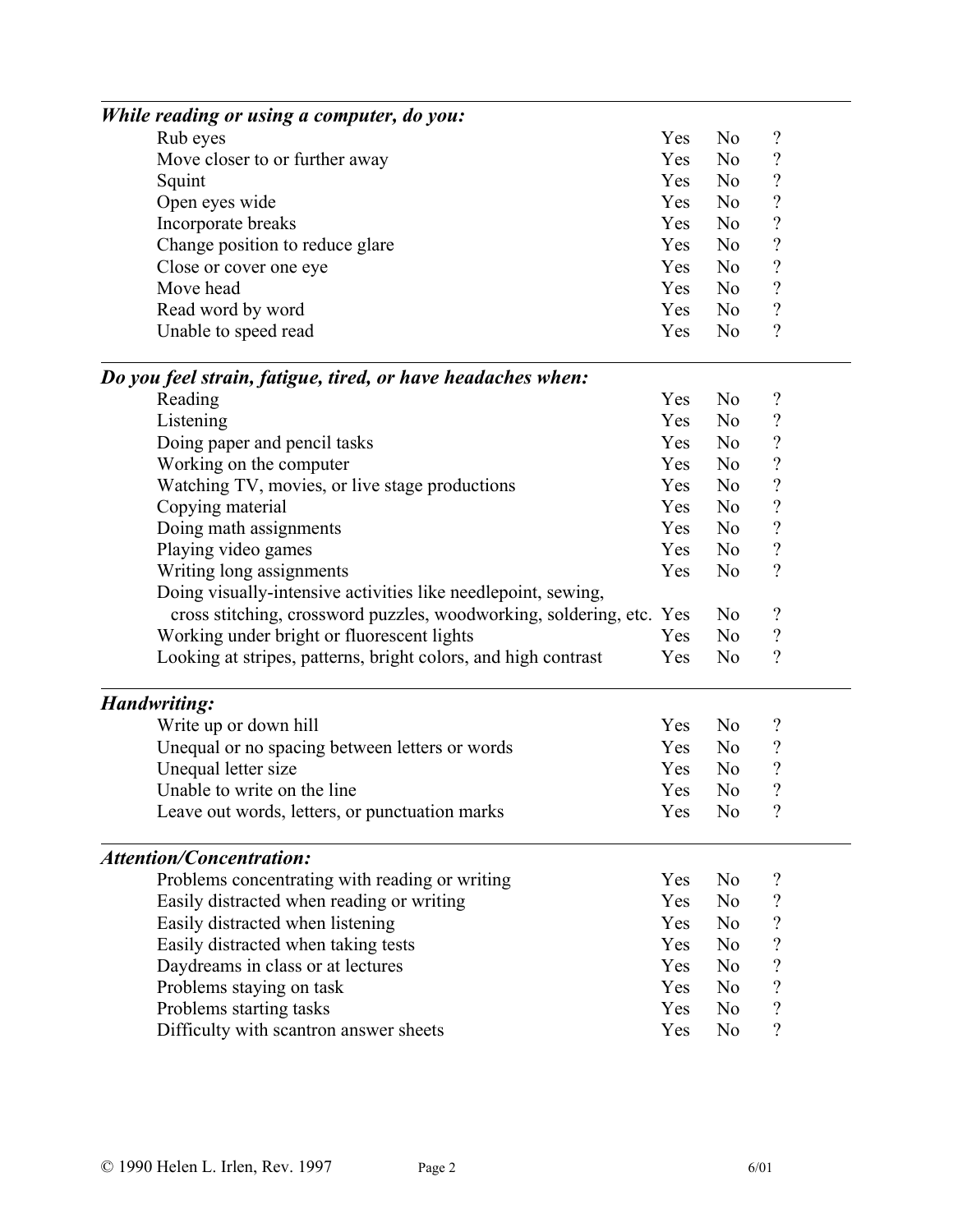| While reading or using a computer, do you:                           |     |                |                            |  |
|----------------------------------------------------------------------|-----|----------------|----------------------------|--|
| Rub eyes                                                             | Yes | N <sub>0</sub> | $\boldsymbol{\mathcal{C}}$ |  |
| Move closer to or further away                                       | Yes | N <sub>o</sub> | $\boldsymbol{\mathcal{C}}$ |  |
| Squint                                                               | Yes | N <sub>o</sub> | $\overline{\mathcal{L}}$   |  |
| Open eyes wide                                                       | Yes | N <sub>o</sub> | $\boldsymbol{\mathcal{C}}$ |  |
| Incorporate breaks                                                   | Yes | N <sub>0</sub> | $\boldsymbol{\mathcal{C}}$ |  |
| Change position to reduce glare                                      | Yes | N <sub>o</sub> | $\overline{\mathcal{L}}$   |  |
| Close or cover one eye                                               | Yes | N <sub>o</sub> | $\boldsymbol{\mathcal{C}}$ |  |
| Move head                                                            | Yes | N <sub>0</sub> | $\boldsymbol{\mathcal{C}}$ |  |
| Read word by word                                                    | Yes | N <sub>o</sub> | $\overline{\mathcal{L}}$   |  |
| Unable to speed read                                                 | Yes | N <sub>0</sub> | $\gamma$                   |  |
| Do you feel strain, fatigue, tired, or have headaches when:          |     |                |                            |  |
| Reading                                                              | Yes | N <sub>0</sub> | $\boldsymbol{\mathcal{C}}$ |  |
| Listening                                                            | Yes | N <sub>0</sub> | $\boldsymbol{\mathcal{C}}$ |  |
| Doing paper and pencil tasks                                         | Yes | N <sub>o</sub> | $\overline{\mathcal{L}}$   |  |
| Working on the computer                                              | Yes | No             | $\overline{\mathcal{L}}$   |  |
| Watching TV, movies, or live stage productions                       | Yes | N <sub>o</sub> | $\overline{\mathcal{L}}$   |  |
| Copying material                                                     | Yes | N <sub>o</sub> | $\overline{\mathcal{L}}$   |  |
| Doing math assignments                                               | Yes | N <sub>o</sub> | $\overline{\mathcal{L}}$   |  |
| Playing video games                                                  | Yes | N <sub>0</sub> | $\overline{\mathcal{L}}$   |  |
| Writing long assignments                                             | Yes | N <sub>o</sub> | $\overline{\mathcal{L}}$   |  |
| Doing visually-intensive activities like needlepoint, sewing,        |     |                |                            |  |
| cross stitching, crossword puzzles, woodworking, soldering, etc. Yes |     | N <sub>o</sub> | $\boldsymbol{\mathcal{C}}$ |  |
| Working under bright or fluorescent lights                           | Yes | N <sub>o</sub> | $\overline{\mathcal{L}}$   |  |
| Looking at stripes, patterns, bright colors, and high contrast       | Yes | N <sub>0</sub> | $\gamma$                   |  |
| <b>Handwriting:</b>                                                  |     |                |                            |  |
| Write up or down hill                                                | Yes | N <sub>o</sub> | $\boldsymbol{\mathcal{C}}$ |  |
| Unequal or no spacing between letters or words                       | Yes | N <sub>0</sub> | $\boldsymbol{\mathcal{C}}$ |  |
| Unequal letter size                                                  | Yes | N <sub>o</sub> | $\overline{?}$             |  |
| Unable to write on the line                                          | Yes | N <sub>o</sub> | $\overline{\mathcal{L}}$   |  |
| Leave out words, letters, or punctuation marks                       | Yes | N <sub>0</sub> | $\gamma$                   |  |
| <b>Attention/Concentration:</b>                                      |     |                |                            |  |
| Problems concentrating with reading or writing                       | Yes | N <sub>o</sub> | $\boldsymbol{\mathcal{C}}$ |  |
| Easily distracted when reading or writing                            | Yes | N <sub>o</sub> | $\overline{\mathcal{C}}$   |  |
| Easily distracted when listening                                     | Yes | N <sub>o</sub> | $\boldsymbol{\mathcal{C}}$ |  |
| Easily distracted when taking tests                                  | Yes | N <sub>o</sub> | $\overline{\mathcal{L}}$   |  |
| Daydreams in class or at lectures                                    | Yes | N <sub>o</sub> | $\overline{\mathcal{L}}$   |  |
| Problems staying on task                                             | Yes | N <sub>0</sub> | $\boldsymbol{\mathcal{C}}$ |  |
| Problems starting tasks                                              | Yes | N <sub>0</sub> | $\overline{\mathcal{L}}$   |  |
| Difficulty with scantron answer sheets                               | Yes | N <sub>0</sub> | $\overline{?}$             |  |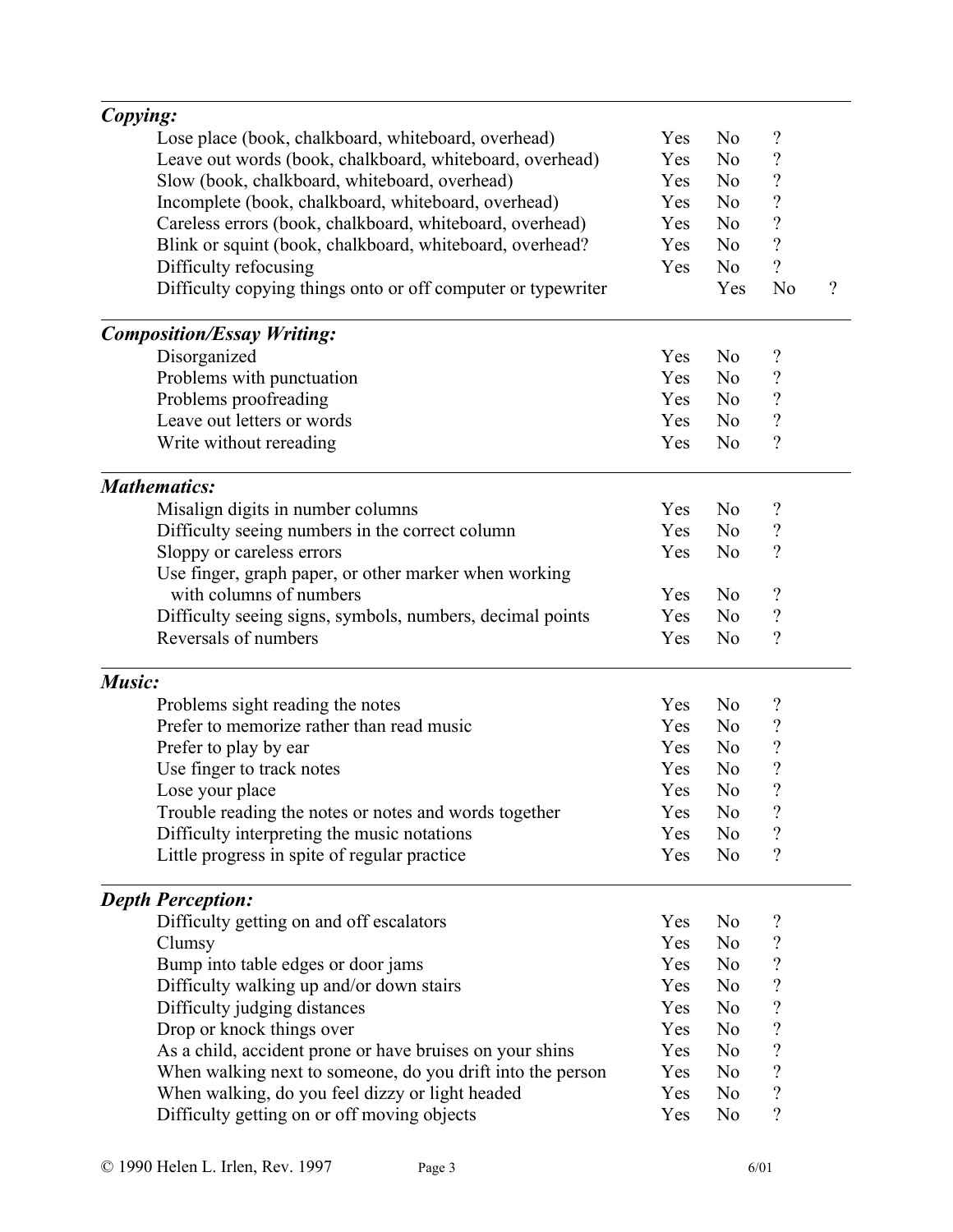| Copying:                                                     |     |                |                            |          |
|--------------------------------------------------------------|-----|----------------|----------------------------|----------|
| Lose place (book, chalkboard, whiteboard, overhead)          | Yes | N <sub>0</sub> | $\boldsymbol{\mathcal{C}}$ |          |
| Leave out words (book, chalkboard, whiteboard, overhead)     | Yes | N <sub>o</sub> | $\overline{\mathcal{C}}$   |          |
| Slow (book, chalkboard, whiteboard, overhead)                | Yes | N <sub>o</sub> | $\overline{\mathcal{C}}$   |          |
| Incomplete (book, chalkboard, whiteboard, overhead)          | Yes | N <sub>0</sub> | $\overline{\mathcal{L}}$   |          |
| Careless errors (book, chalkboard, whiteboard, overhead)     | Yes | N <sub>0</sub> | $\overline{\mathcal{L}}$   |          |
| Blink or squint (book, chalkboard, whiteboard, overhead?     | Yes | N <sub>o</sub> | $\overline{\mathcal{L}}$   |          |
| Difficulty refocusing                                        | Yes | N <sub>o</sub> | $\overline{?}$             |          |
| Difficulty copying things onto or off computer or typewriter |     | Yes            | N <sub>o</sub>             | $\gamma$ |
| <b>Composition/Essay Writing:</b>                            |     |                |                            |          |
| Disorganized                                                 | Yes | N <sub>o</sub> | $\boldsymbol{\mathcal{C}}$ |          |
| Problems with punctuation                                    | Yes | N <sub>0</sub> | $\overline{\mathcal{C}}$   |          |
| Problems proofreading                                        | Yes | N <sub>o</sub> | $\boldsymbol{\mathcal{C}}$ |          |
| Leave out letters or words                                   | Yes | N <sub>0</sub> | $\overline{\mathcal{L}}$   |          |
| Write without rereading                                      | Yes | N <sub>o</sub> | $\overline{\mathcal{L}}$   |          |
| <b>Mathematics:</b>                                          |     |                |                            |          |
| Misalign digits in number columns                            | Yes | N <sub>0</sub> | ?                          |          |
| Difficulty seeing numbers in the correct column              | Yes | N <sub>o</sub> | $\boldsymbol{\mathcal{C}}$ |          |
| Sloppy or careless errors                                    | Yes | N <sub>0</sub> | $\overline{\mathcal{L}}$   |          |
| Use finger, graph paper, or other marker when working        |     |                |                            |          |
| with columns of numbers                                      | Yes | N <sub>o</sub> | $\boldsymbol{\mathcal{C}}$ |          |
| Difficulty seeing signs, symbols, numbers, decimal points    | Yes | N <sub>o</sub> | $\overline{\mathcal{C}}$   |          |
| Reversals of numbers                                         | Yes | N <sub>0</sub> | $\overline{\mathcal{L}}$   |          |
| Music:                                                       |     |                |                            |          |
| Problems sight reading the notes                             | Yes | N <sub>0</sub> | ?                          |          |
| Prefer to memorize rather than read music                    | Yes | N <sub>o</sub> | $\boldsymbol{\mathcal{C}}$ |          |
| Prefer to play by ear                                        | Yes | N <sub>0</sub> | $\overline{\mathcal{L}}$   |          |
| Use finger to track notes                                    | Yes | N <sub>o</sub> | $\overline{\mathcal{L}}$   |          |
| Lose your place                                              | Yes | N <sub>o</sub> | $\overline{\mathcal{L}}$   |          |
| Trouble reading the notes or notes and words together        | Yes | N <sub>0</sub> | $\boldsymbol{\mathcal{C}}$ |          |
| Difficulty interpreting the music notations                  | Yes | N <sub>0</sub> | ?                          |          |
| Little progress in spite of regular practice                 | Yes | N <sub>0</sub> | $\overline{\mathcal{C}}$   |          |
| <b>Depth Perception:</b>                                     |     |                |                            |          |
| Difficulty getting on and off escalators                     | Yes | N <sub>0</sub> | ?                          |          |
| Clumsy                                                       | Yes | N <sub>0</sub> | $\overline{\mathcal{C}}$   |          |
| Bump into table edges or door jams                           | Yes | N <sub>0</sub> | $\overline{\mathcal{C}}$   |          |
| Difficulty walking up and/or down stairs                     | Yes | N <sub>0</sub> | $\overline{\mathcal{C}}$   |          |
| Difficulty judging distances                                 | Yes | N <sub>0</sub> | $\overline{\mathcal{C}}$   |          |
| Drop or knock things over                                    | Yes | N <sub>0</sub> | $\overline{\mathcal{L}}$   |          |
| As a child, accident prone or have bruises on your shins     | Yes | N <sub>0</sub> | $\overline{\mathcal{C}}$   |          |
| When walking next to someone, do you drift into the person   | Yes | N <sub>0</sub> | $\overline{\mathcal{C}}$   |          |
| When walking, do you feel dizzy or light headed              | Yes | N <sub>0</sub> | $\overline{\mathcal{C}}$   |          |
| Difficulty getting on or off moving objects                  | Yes | N <sub>0</sub> | $\overline{\mathcal{L}}$   |          |
|                                                              |     |                |                            |          |